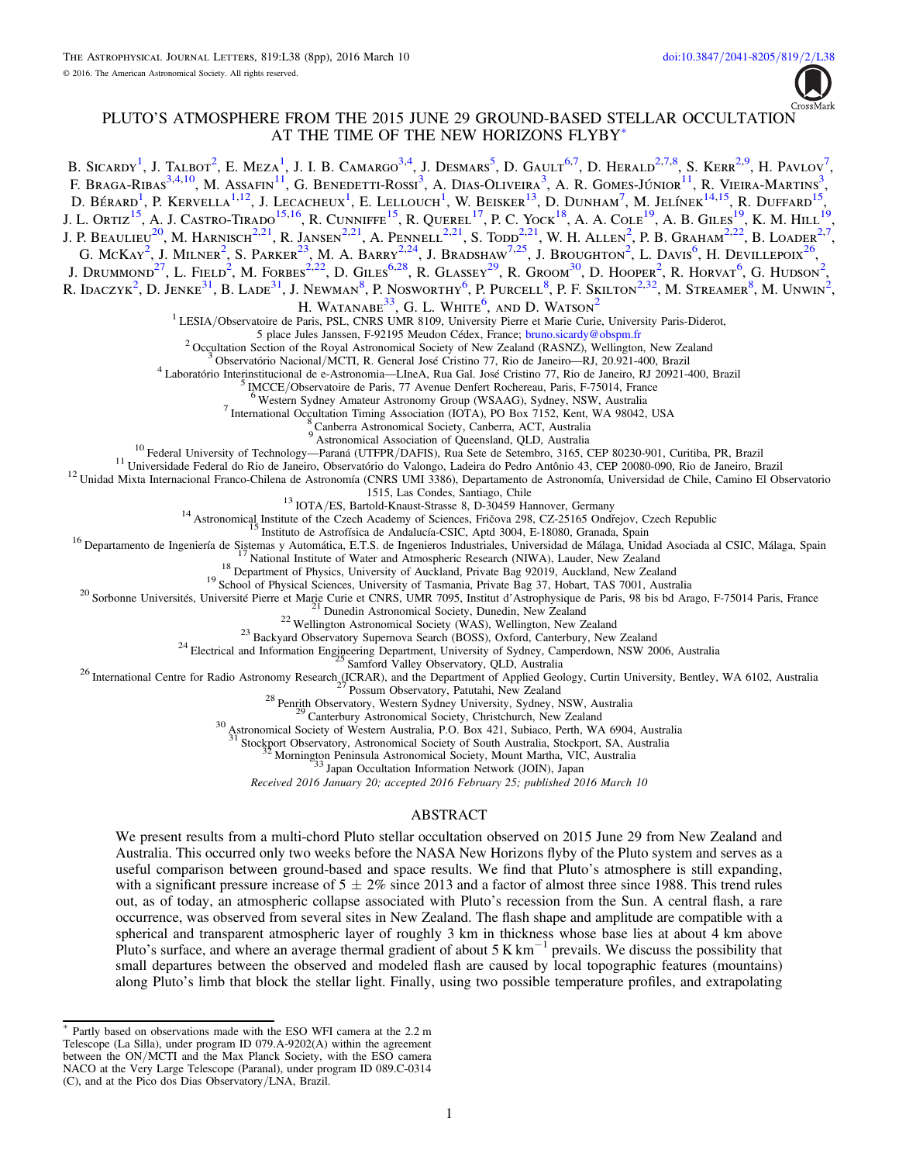

# PLUTO'S ATMOSPHERE FROM THE 2015 JUNE 29 GROUND-BASED STELLAR OCCULTATION AT THE TIME OF THE NEW HORIZONS FLYBY[\\*](#page-0-0)

<span id="page-0-20"></span><span id="page-0-19"></span><span id="page-0-18"></span><span id="page-0-17"></span><span id="page-0-16"></span><span id="page-0-15"></span><span id="page-0-14"></span><span id="page-0-13"></span><span id="page-0-12"></span><span id="page-0-11"></span><span id="page-0-10"></span><span id="page-0-9"></span><span id="page-0-8"></span><span id="page-0-7"></span><span id="page-0-6"></span><span id="page-0-5"></span><span id="page-0-4"></span><span id="page-0-3"></span><span id="page-0-2"></span><span id="page-0-1"></span>B. Sicardy<sup>[1](#page-0-1)</sup>, J. Talbot<sup>[2](#page-0-2)</sup>, E. Meza<sup>1</sup>, J. I. B. Camargo<sup>[3](#page-0-3)[,4](#page-0-4)</sup>, J. Desmars<sup>[5](#page-0-5)</sup>, D. Gault<sup>[6](#page-0-6)[,7](#page-0-7)</sup>, D. Herald<sup>2,7[,8](#page-0-8)</sup>, S. Kerr<sup>2[,9](#page-0-9)</sup>, H. Pavlov<sup>[7](#page-0-7)</sup>, F. Braga-Ribas<sup>[3](#page-0-3)[,4](#page-0-4)[,10](#page-0-10)</sup>, M. Assafin<sup>[11](#page-0-11)</sup>, G. Benedetti-Rossi<sup>3</sup>, A. Dias-Oliveira<sup>3</sup>, A. R. Gomes-Júnior<sup>11</sup>, R. Vieira-Martins<sup>3</sup>, D. Bérard<sup>[1](#page-0-1)</sup>, P. Kervella<sup>1[,12](#page-0-12)</sup>, J. Lecacheux<sup>1</sup>, E. Lellouch<sup>1</sup>, W. Beisker<sup>[13](#page-0-13)</sup>, D. Dunham<sup>[7](#page-0-7)</sup>, M. Jelínek<sup>[14](#page-0-14)[,15](#page-0-15)</sup>, R. Duffard<sup>[15](#page-0-15)</sup>, J. L. Ortiz<sup>[15](#page-0-15)</sup>, A. J. Castro-Tirado<sup>15[,16](#page-0-16)</sup>, R. Cunniffe<sup>15</sup>, R. Ouerel<sup>[17](#page-0-17)</sup>, P. C. Yock<sup>[18](#page-0-18)</sup>, A. A. Cole<sup>[19](#page-0-19)</sup>, A. B. Giles<sup>19</sup>, K. M. Hill<sup>19</sup>, J. P. BEAULIEU<sup>[20](#page-0-20)</sup>, M. HARNISCH<sup>[2](#page-0-2)[,21](#page-0-21)</sup>, R. JANSEN<sup>2,21</sup>, A. PENNELL<sup>2,21</sup>, S. TODD<sup>2,21</sup>, W. H. ALLEN<sup>2</sup>, P. B. GRAHAM<sup>2[,22](#page-0-22)</sup>, B. LOADER<sup>2[,7](#page-0-7)</sup>, G. McKay<sup>[2](#page-0-2)</sup>, J. Milner<sup>2</sup>, S. Parker<sup>[23](#page-0-23)</sup>, M. A. Barry<sup>2[,24](#page-0-24)</sup>, J. Bradshaw<sup>[7](#page-0-7)[,25](#page-0-25)</sup>, J. Broughton<sup>2</sup>, L. Davis<sup>[6](#page-0-6)</sup>, H. Devillepoix<sup>[26](#page-0-26)</sup>, J. Drummond<sup>[27](#page-0-27)</sup>, L. Field<sup>[2](#page-0-2)</sup>, M. Forbes<sup>2[,22](#page-0-22)</sup>, D. Giles<sup>[6](#page-0-6)[,28](#page-0-28)</sup>, R. Glassey<sup>[29](#page-0-29)</sup>, R. Groom<sup>[30](#page-0-30)</sup>, D. Hooper<sup>2</sup>, R. Horvat<sup>6</sup>, G. Hudson<sup>2</sup>, R. Idaczyk<sup>[2](#page-0-2)</sup>, D. Jenke<sup>[31](#page-0-31)</sup>, B. Lade<sup>31</sup>, J. Newman<sup>[8](#page-0-8)</sup>, P. Nosworthy<sup>[6](#page-0-6)</sup>, P. Purcell<sup>8</sup>, P. F. Skilton<sup>2[,32](#page-0-32)</sup>, M. Streamer<sup>8</sup>, M. Unwin<sup>2</sup>, H. Watanabe $^{33}$  $^{33}$  $^{33}$ . G. L. White<sup>[6](#page-0-6)</sup>. and D. Watson<sup>[2](#page-0-2)</sup> <sup>1</sup> LESIA/Observatoire de Paris, PSL, CNRS UMR 8109, University Pierre et Marie Curie, University Paris-Diderot,<br>5 place Jules Janssen, F-92195 Meudon Cédex, France; bruno.sicardy@obspm.fr <sup>2</sup> Occultation Section of the Royal Astronomical Society of New Zealand (RASNZ), Wellington, New Zealand<br><sup>3</sup> Observatório Nacional/MCTI, R. General José Cristino 77, Rio de Janeiro—RJ, 20.921-400, Brazil<br><sup>4</sup> Laboratório <sup>10</sup> Federal University of Technology—Paraná (UTFPR/DAFIS), Rua Sete de Setembro, 3165, CEP 80230-901, Curitiba, PR, Brazil<br><sup>11</sup> Universidade Federal do Rio de Janeiro, Observatório do Valongo, Ladeira do Pedro Antônio 43, <sup>13</sup> IOTA/ES, Bartold-Knaust-Strasse 8, D-30459 Hannover, Germany<br><sup>14</sup> Astronomical Institute of the Czech Academy of Sciences, Fričova 298, CZ-25165 Ondrejov, Czech Republic<br><sup>16</sup> Institutute of the Czech Academy of Scien <sup>31</sup> Stockport Observatory, Astronomical Society of South Australia, Stockport, SA, Australia <sup>32</sup> Mornington Peninsula Astronomical Society, Mount Martha, VIC, Australia <sup>33</sup> Japan Occultation Information Network (JOIN), Japan Received 2016 January 20; accepted 2016 February 25; published 2016 March 10 ABSTRACT We present results from a multi-chord Pluto stellar occultation observed on 2015 June 29 from New Zealand and Australia. This occurred only two weeks before the NASA New Horizons flyby of the Pluto system and serves as a useful comparison between ground-based and space results. We find that Pluto's atmosphere is still expanding, with a significant pressure increase of  $5 \pm 2\%$  since 2013 and a factor of almost three since 1988. This trend rules out, as of today, an atmospheric collapse associated with Pluto's recession from the Sun. A central flash, a rare occurrence, was observed from several sites in New Zealand. The flash shape and amplitude are compatible with a spherical and transparent atmospheric layer of roughly 3 km in thickness whose base lies at about 4 km above Pluto's surface, and where an average thermal gradient of about 5 K  $km^{-1}$  prevails. We discuss the possibility that small departures between the observed and modeled flash are caused by local topographic features (mountains) along Pluto's limb that block the stellar light. Finally, using two possible temperature profiles, and extrapolating

<span id="page-0-33"></span><span id="page-0-32"></span><span id="page-0-31"></span><span id="page-0-30"></span><span id="page-0-29"></span><span id="page-0-28"></span><span id="page-0-27"></span><span id="page-0-26"></span><span id="page-0-25"></span><span id="page-0-24"></span><span id="page-0-23"></span><span id="page-0-22"></span><span id="page-0-21"></span><span id="page-0-0"></span>Partly based on observations made with the ESO WFI camera at the 2.2 m Telescope (La Silla), under program ID 079.A-9202(A) within the agreement between the ON/MCTI and the Max Planck Society, with the ESO camera NACO at the Very Large Telescope (Paranal), under program ID 089.C-0314 (C), and at the Pico dos Dias Observatory/LNA, Brazil.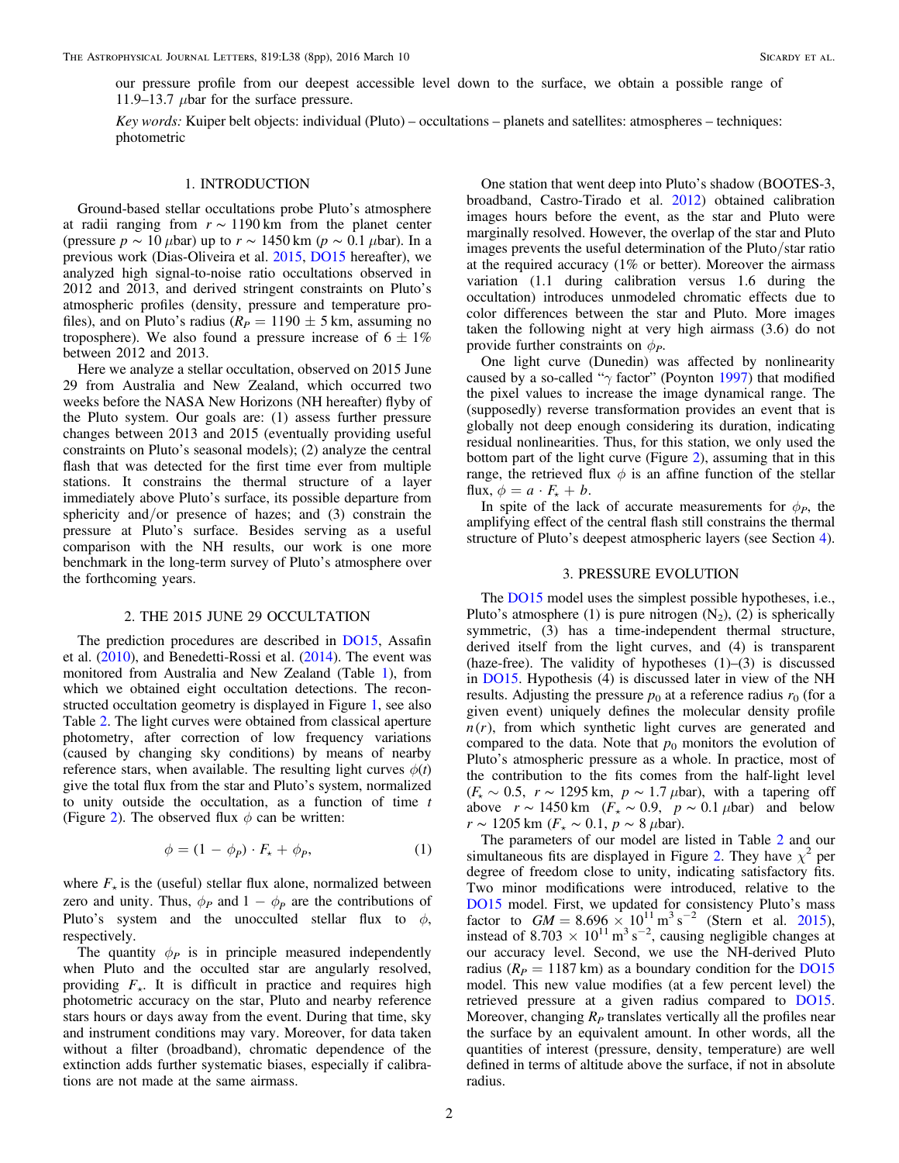our pressure profile from our deepest accessible level down to the surface, we obtain a possible range of 11.9–13.7  $\mu$ bar for the surface pressure.

Key words: Kuiper belt objects: individual (Pluto) – occultations – planets and satellites: atmospheres – techniques: photometric

### 1. INTRODUCTION

Ground-based stellar occultations probe Pluto's atmosphere at radii ranging from  $r \sim 1190 \text{ km}$  from the planet center (pressure  $p \sim 10 \,\mu$ bar) up to  $r \sim 1450 \,\text{km}$  ( $p \sim 0.1 \,\mu$ bar). In a previous work (Dias-Oliveira et al. [2015,](#page-7-0) [DO15](#page-7-0) hereafter), we analyzed high signal-to-noise ratio occultations observed in 2012 and 2013, and derived stringent constraints on Pluto's atmospheric profiles (density, pressure and temperature profiles), and on Pluto's radius ( $R_P = 1190 \pm 5$  km, assuming no troposphere). We also found a pressure increase of  $6 \pm 1\%$ between 2012 and 2013.

Here we analyze a stellar occultation, observed on 2015 June 29 from Australia and New Zealand, which occurred two weeks before the NASA New Horizons (NH hereafter) flyby of the Pluto system. Our goals are: (1) assess further pressure changes between 2013 and 2015 (eventually providing useful constraints on Pluto's seasonal models); (2) analyze the central flash that was detected for the first time ever from multiple stations. It constrains the thermal structure of a layer immediately above Pluto's surface, its possible departure from sphericity and/or presence of hazes; and (3) constrain the pressure at Pluto's surface. Besides serving as a useful comparison with the NH results, our work is one more benchmark in the long-term survey of Pluto's atmosphere over the forthcoming years.

#### 2. THE 2015 JUNE 29 OCCULTATION

The prediction procedures are described in [DO15,](#page-7-0) Assafin et al. ([2010](#page-7-1)), and Benedetti-Rossi et al. ([2014](#page-7-2)). The event was monitored from Australia and New Zealand (Table [1](#page-2-0)), from which we obtained eight occultation detections. The reconstructed occultation geometry is displayed in Figure [1](#page-3-0), see also Table [2](#page-4-0). The light curves were obtained from classical aperture photometry, after correction of low frequency variations (caused by changing sky conditions) by means of nearby reference stars, when available. The resulting light curves  $\phi(t)$ give the total flux from the star and Pluto's system, normalized to unity outside the occultation, as a function of time  $t$ (Figure [2](#page-5-0)). The observed flux  $\phi$  can be written:

$$
\phi = (1 - \phi_P) \cdot F_\star + \phi_P,\tag{1}
$$

<span id="page-1-1"></span>where  $F_{\star}$  is the (useful) stellar flux alone, normalized between zero and unity. Thus,  $\phi_P$  and  $1 - \phi_P$  are the contributions of Pluto's system and the unocculted stellar flux to  $\phi$ , respectively.

The quantity  $\phi_P$  is in principle measured independently when Pluto and the occulted star are angularly resolved, providing  $F_{\star}$ . It is difficult in practice and requires high photometric accuracy on the star, Pluto and nearby reference stars hours or days away from the event. During that time, sky and instrument conditions may vary. Moreover, for data taken without a filter (broadband), chromatic dependence of the extinction adds further systematic biases, especially if calibrations are not made at the same airmass.

One station that went deep into Pluto's shadow (BOOTES-3, broadband, Castro-Tirado et al. [2012](#page-7-3)) obtained calibration images hours before the event, as the star and Pluto were marginally resolved. However, the overlap of the star and Pluto images prevents the useful determination of the Pluto/star ratio at the required accuracy (1% or better). Moreover the airmass variation (1.1 during calibration versus 1.6 during the occultation) introduces unmodeled chromatic effects due to color differences between the star and Pluto. More images taken the following night at very high airmass (3.6) do not provide further constraints on  $\phi_P$ .

One light curve (Dunedin) was affected by nonlinearity caused by a so-called "γ factor" (Poynton [1997](#page-7-4)) that modified the pixel values to increase the image dynamical range. The (supposedly) reverse transformation provides an event that is globally not deep enough considering its duration, indicating residual nonlinearities. Thus, for this station, we only used the bottom part of the light curve (Figure [2](#page-5-0)), assuming that in this range, the retrieved flux  $\phi$  is an affine function of the stellar flux,  $\phi = a \cdot F_{\star} + b$ .

In spite of the lack of accurate measurements for  $\phi_P$ , the amplifying effect of the central flash still constrains the thermal structure of Pluto's deepest atmospheric layers (see Section [4](#page-3-1)).

### 3. PRESSURE EVOLUTION

<span id="page-1-0"></span>The **[DO15](#page-7-0)** model uses the simplest possible hypotheses, i.e., Pluto's atmosphere (1) is pure nitrogen  $(N_2)$ , (2) is spherically symmetric, (3) has a time-independent thermal structure, derived itself from the light curves, and (4) is transparent (haze-free). The validity of hypotheses  $(1)$ – $(3)$  is discussed in [DO15](#page-7-0). Hypothesis (4) is discussed later in view of the NH results. Adjusting the pressure  $p_0$  at a reference radius  $r_0$  (for a given event) uniquely defines the molecular density profile  $n(r)$ , from which synthetic light curves are generated and compared to the data. Note that  $p_0$  monitors the evolution of Pluto's atmospheric pressure as a whole. In practice, most of the contribution to the fits comes from the half-light level  $(F_{\star} \sim 0.5, r \sim 1295 \text{ km}, p \sim 1.7 \mu \text{bar})$ , with a tapering off above  $r \sim 1450 \text{ km}$  ( $F_{\star} \sim 0.9$ ,  $p \sim 0.1 \mu \text{bar}$ ) and below  $r \sim 1205$  km ( $F<sub>★</sub> \sim 0.1$ ,  $p \sim 8$  µbar).

The parameters of our model are listed in Table [2](#page-4-0) and our simultaneous fits are displayed in Figure [2](#page-5-0). They have  $\chi^2$  per degree of freedom close to unity, indicating satisfactory fits. Two minor modifications were introduced, relative to the [DO15](#page-7-0) model. First, we updated for consistency Pluto's mass factor to  $GM = 8.696 \times 10^{11} \text{ m}^3 \text{ s}^{-2}$  (Stern et al. [2015](#page-7-5)), instead of 8.703  $\times$  10<sup>11</sup> m<sup>3</sup> s<sup>-2</sup>, causing negligible changes at our accuracy level. Second, we use the NH-derived Pluto radius ( $R_p = 1187$  km) as a boundary condition for the [DO15](#page-7-0) model. This new value modifies (at a few percent level) the retrieved pressure at a given radius compared to [DO15](#page-7-0). Moreover, changing  $R<sub>P</sub>$  translates vertically all the profiles near the surface by an equivalent amount. In other words, all the quantities of interest (pressure, density, temperature) are well defined in terms of altitude above the surface, if not in absolute radius.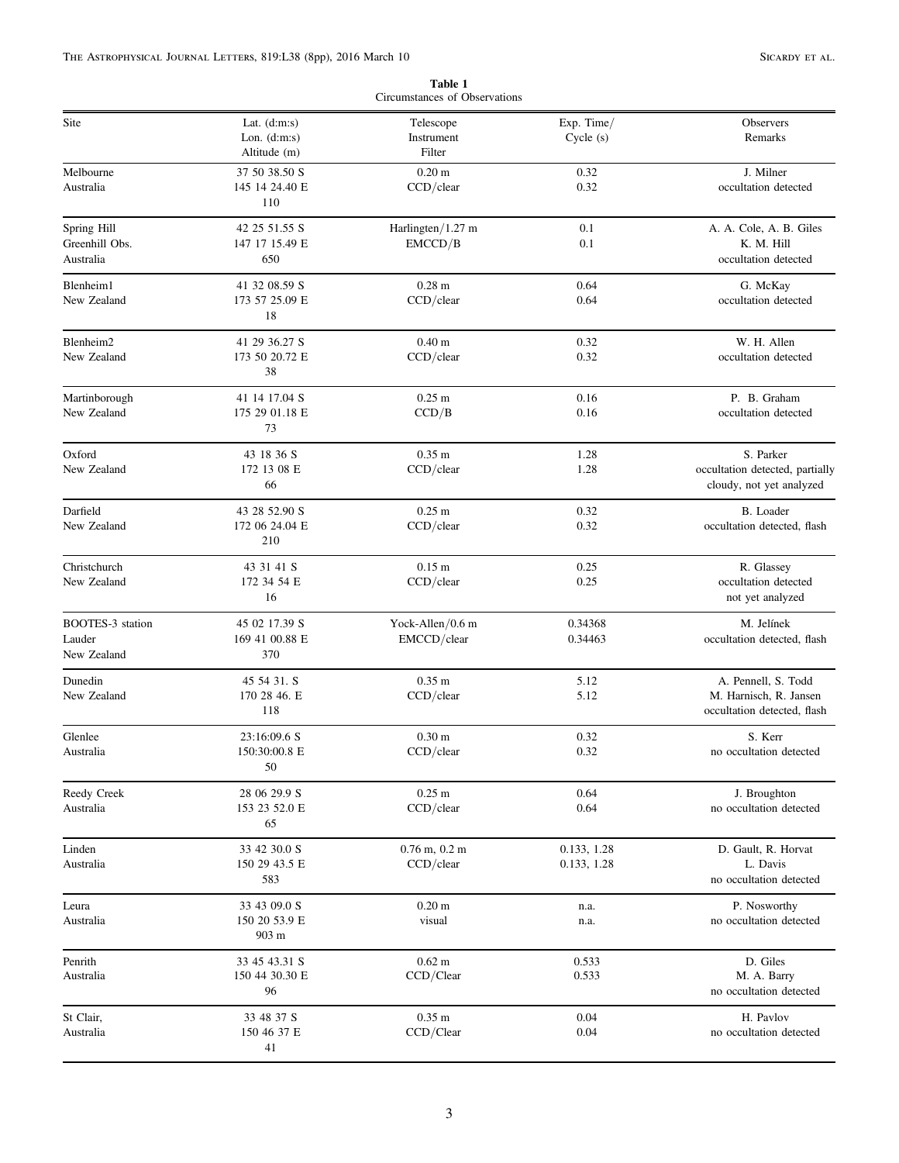<span id="page-2-0"></span>

| Circumstances of Observations              |                                                  |                                   |                            |                                                                              |  |  |
|--------------------------------------------|--------------------------------------------------|-----------------------------------|----------------------------|------------------------------------------------------------------------------|--|--|
| Site                                       | Lat. $(d:m:s)$<br>Lon. $(d:m:s)$<br>Altitude (m) | Telescope<br>Instrument<br>Filter | Exp. Time/<br>Cycle (s)    | Observers<br>Remarks                                                         |  |  |
| Melbourne<br>Australia                     | 37 50 38.50 S<br>145 14 24.40 E<br>110           | 0.20 <sub>m</sub><br>CCD/clear    | 0.32<br>0.32               | J. Milner<br>occultation detected                                            |  |  |
| Spring Hill<br>Greenhill Obs.<br>Australia | 42 25 51.55 S<br>147 17 15.49 E<br>650           | Harlingten/1.27 m<br>EMCCD/B      | 0.1<br>0.1                 | A. A. Cole, A. B. Giles<br>K. M. Hill<br>occultation detected                |  |  |
| Blenheim1<br>New Zealand                   | 41 32 08.59 S<br>173 57 25.09 E<br>18            | 0.28 <sub>m</sub><br>CCD/clear    | 0.64<br>0.64               | G. McKay<br>occultation detected                                             |  |  |
| Blenheim2<br>New Zealand                   | 41 29 36.27 S<br>173 50 20.72 E<br>38            | 0.40 <sub>m</sub><br>CCD/clear    | 0.32<br>0.32               | W. H. Allen<br>occultation detected                                          |  |  |
| Martinborough<br>New Zealand               | 41 14 17.04 S<br>175 29 01.18 E<br>73            | $0.25$ m<br>CCD/B                 | 0.16<br>0.16               | P. B. Graham<br>occultation detected                                         |  |  |
| Oxford<br>New Zealand                      | 43 18 36 S<br>172 13 08 E<br>66                  | 0.35 <sub>m</sub><br>CCD/clear    | 1.28<br>1.28               | S. Parker<br>occultation detected, partially<br>cloudy, not yet analyzed     |  |  |
| Darfield<br>New Zealand                    | 43 28 52.90 S<br>172 06 24.04 E<br>210           | $0.25 \text{ m}$<br>CCD/clear     | 0.32<br>0.32               | <b>B.</b> Loader<br>occultation detected, flash                              |  |  |
| Christchurch<br>New Zealand                | 43 31 41 S<br>172 34 54 E<br>16                  | 0.15 <sub>m</sub><br>CCD/clear    | 0.25<br>0.25               | R. Glassey<br>occultation detected<br>not yet analyzed                       |  |  |
| BOOTES-3 station<br>Lauder<br>New Zealand  | 45 02 17.39 S<br>169 41 00.88 E<br>370           | Yock-Allen/0.6 m<br>EMCCD/clear   | 0.34368<br>0.34463         | M. Jelínek<br>occultation detected, flash                                    |  |  |
| Dunedin<br>New Zealand                     | 45 54 31. S<br>170 28 46. E<br>118               | 0.35 <sub>m</sub><br>CCD/clear    | 5.12<br>5.12               | A. Pennell, S. Todd<br>M. Harnisch, R. Jansen<br>occultation detected, flash |  |  |
| Glenlee<br>Australia                       | 23:16:09.6 S<br>150:30:00.8 E<br>50              | 0.30 <sub>m</sub><br>$CCD$ /clear | 0.32<br>0.32               | S. Kerr<br>no occultation detected                                           |  |  |
| Reedy Creek<br>Australia                   | 28 06 29.9 S<br>153 23 52.0 E<br>65              | $0.25 \text{ m}$<br>CCD/clear     | 0.64<br>0.64               | J. Broughton<br>no occultation detected                                      |  |  |
| Linden<br>Australia                        | 33 42 30.0 S<br>150 29 43.5 E<br>583             | $0.76$ m, $0.2$ m<br>CCD/clear    | 0.133, 1.28<br>0.133, 1.28 | D. Gault, R. Horvat<br>L. Davis<br>no occultation detected                   |  |  |
| Leura<br>Australia                         | 33 43 09.0 S<br>150 20 53.9 E<br>903 m           | 0.20 <sub>m</sub><br>visual       | n.a.<br>n.a.               | P. Nosworthy<br>no occultation detected                                      |  |  |
| Penrith<br>Australia                       | 33 45 43.31 S<br>150 44 30.30 E<br>96            | $0.62 \text{ m}$<br>CCD/Clear     | 0.533<br>0.533             | D. Giles<br>M. A. Barry<br>no occultation detected                           |  |  |
| St Clair,<br>Australia                     | 33 48 37 S<br>150 46 37 E<br>41                  | $0.35$ m<br>CCD/Clear             | 0.04<br>0.04               | H. Pavlov<br>no occultation detected                                         |  |  |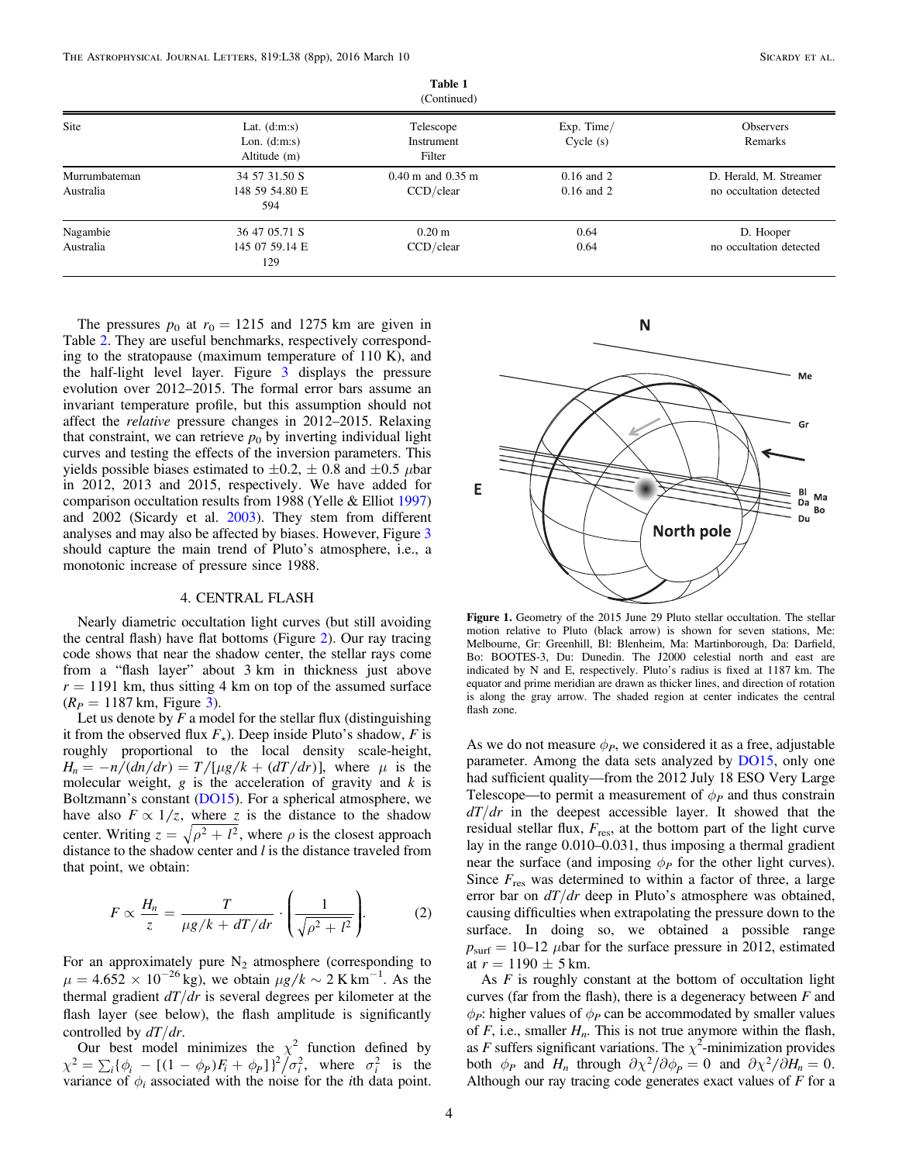| (Continued)                |                                                  |                                       |                                  |                                                   |  |  |
|----------------------------|--------------------------------------------------|---------------------------------------|----------------------------------|---------------------------------------------------|--|--|
| <b>Site</b>                | Lat. $(d:m:s)$<br>Lon. $(d:m:s)$<br>Altitude (m) | Telescope<br>Instrument<br>Filter     | $Exp.$ Time/<br>Cycle(s)         | <b>Observers</b><br>Remarks                       |  |  |
| Murrumbateman<br>Australia | 34 57 31.50 S<br>148 59 54.80 E<br>594           | $0.40$ m and $0.35$ m<br>$CCD$ /clear | $0.16$ and $2$<br>$0.16$ and $2$ | D. Herald, M. Streamer<br>no occultation detected |  |  |
| Nagambie<br>Australia      | 36 47 05.71 S<br>145 07 59.14 E<br>129           | $0.20 \text{ m}$<br>$CCD$ /clear      | 0.64<br>0.64                     | D. Hooper<br>no occultation detected              |  |  |

Table 1

The pressures  $p_0$  at  $r_0 = 1215$  and 1275 km are given in Table [2](#page-4-0). They are useful benchmarks, respectively corresponding to the stratopause (maximum temperature of 110 K), and the half-light level layer. Figure [3](#page-6-0) displays the pressure evolution over 2012–2015. The formal error bars assume an invariant temperature profile, but this assumption should not affect the relative pressure changes in 2012–2015. Relaxing that constraint, we can retrieve  $p_0$  by inverting individual light curves and testing the effects of the inversion parameters. This yields possible biases estimated to  $\pm 0.2$ ,  $\pm$  0.8 and  $\pm 0.5$   $\mu$ bar in 2012, 2013 and 2015, respectively. We have added for comparison occultation results from 1988 (Yelle & Elliot [1997](#page-7-6)) and 2002 (Sicardy et al. [2003](#page-7-7)). They stem from different analyses and may also be affected by biases. However, Figure [3](#page-6-0) should capture the main trend of Pluto's atmosphere, i.e., a monotonic increase of pressure since 1988.

## 4. CENTRAL FLASH

<span id="page-3-1"></span>Nearly diametric occultation light curves (but still avoiding the central flash) have flat bottoms (Figure [2](#page-5-0)). Our ray tracing code shows that near the shadow center, the stellar rays come from a "flash layer" about 3 km in thickness just above  $r = 1191$  km, thus sitting 4 km on top of the assumed surface  $(R_P = 1187 \text{ km}, \text{ Figure 3}).$  $(R_P = 1187 \text{ km}, \text{ Figure 3}).$  $(R_P = 1187 \text{ km}, \text{ Figure 3}).$ 

Let us denote by  $F$  a model for the stellar flux (distinguishing it from the observed flux  $F_{\star}$ ). Deep inside Pluto's shadow, F is roughly proportional to the local density scale-height,  $H_n = -n/(dn/dr) = T/[\mu g/k + (dT/dr)],$  where  $\mu$  is the molecular weight,  $g$  is the acceleration of gravity and  $k$  is Boltzmann's constant ([DO15](#page-7-0)). For a spherical atmosphere, we have also  $F \propto 1/z$ , where z is the distance to the shadow center. Writing  $z = \sqrt{\rho^2 + l^2}$ , where  $\rho$  is the closest approach distance to the shadow center and  $l$  is the distance traveled from that point, we obtain:

<span id="page-3-2"></span>
$$
F \propto \frac{H_n}{z} = \frac{T}{\mu g / k + dT / dr} \cdot \left(\frac{1}{\sqrt{\rho^2 + l^2}}\right).
$$
 (2)

For an approximately pure  $N_2$  atmosphere (corresponding to  $\mu = 4.652 \times 10^{-26}$  kg), we obtain  $\mu g / k \sim 2$  K km<sup>-1</sup>. As the thermal gradient  $dT/dr$  is several degrees per kilometer at the flash layer (see below), the flash amplitude is significantly controlled by  $dT/dr$ .

Our best model minimizes the  $\chi^2$  function defined by  $\chi^2 = \sum_i {\{\phi_i\ - [ (1 - \phi_P)F_i + \phi_P]\}}^2 / \sigma_i^2$ , where  $\sigma_i^2$  is the variance of  $\phi_i$  associated with the noise for the *i*th data point.

<span id="page-3-0"></span>

Figure 1. Geometry of the 2015 June 29 Pluto stellar occultation. The stellar motion relative to Pluto (black arrow) is shown for seven stations, Me: Melbourne, Gr: Greenhill, Bl: Blenheim, Ma: Martinborough, Da: Darfield, Bo: BOOTES-3, Du: Dunedin. The J2000 celestial north and east are indicated by N and E, respectively. Pluto's radius is fixed at 1187 km. The equator and prime meridian are drawn as thicker lines, and direction of rotation is along the gray arrow. The shaded region at center indicates the central flash zone.

As we do not measure  $\phi_P$ , we considered it as a free, adjustable parameter. Among the data sets analyzed by [DO15](#page-7-0), only one had sufficient quality—from the 2012 July 18 ESO Very Large Telescope—to permit a measurement of  $\phi_P$  and thus constrain  $dT/dr$  in the deepest accessible layer. It showed that the residual stellar flux,  $F_{res}$ , at the bottom part of the light curve lay in the range 0.010–0.031, thus imposing a thermal gradient near the surface (and imposing  $\phi_P$  for the other light curves). Since  $F_{\text{res}}$  was determined to within a factor of three, a large error bar on  $dT/dr$  deep in Pluto's atmosphere was obtained, causing difficulties when extrapolating the pressure down to the surface. In doing so, we obtained a possible range  $p_{\text{surf}} = 10 - 12$  µbar for the surface pressure in 2012, estimated at  $r = 1190 \pm 5$  km.

As  $F$  is roughly constant at the bottom of occultation light curves (far from the flash), there is a degeneracy between  $F$  and  $\phi_P$ : higher values of  $\phi_P$  can be accommodated by smaller values of  $F$ , i.e., smaller  $H_n$ . This is not true anymore within the flash, as F suffers significant variations. The  $\chi^2$ -minimization provides both  $\phi_P$  and  $H_n$  through  $\partial \chi^2 / \partial \phi_P = 0$  and  $\partial \chi^2 / \partial H_n = 0$ . Although our ray tracing code generates exact values of  $F$  for a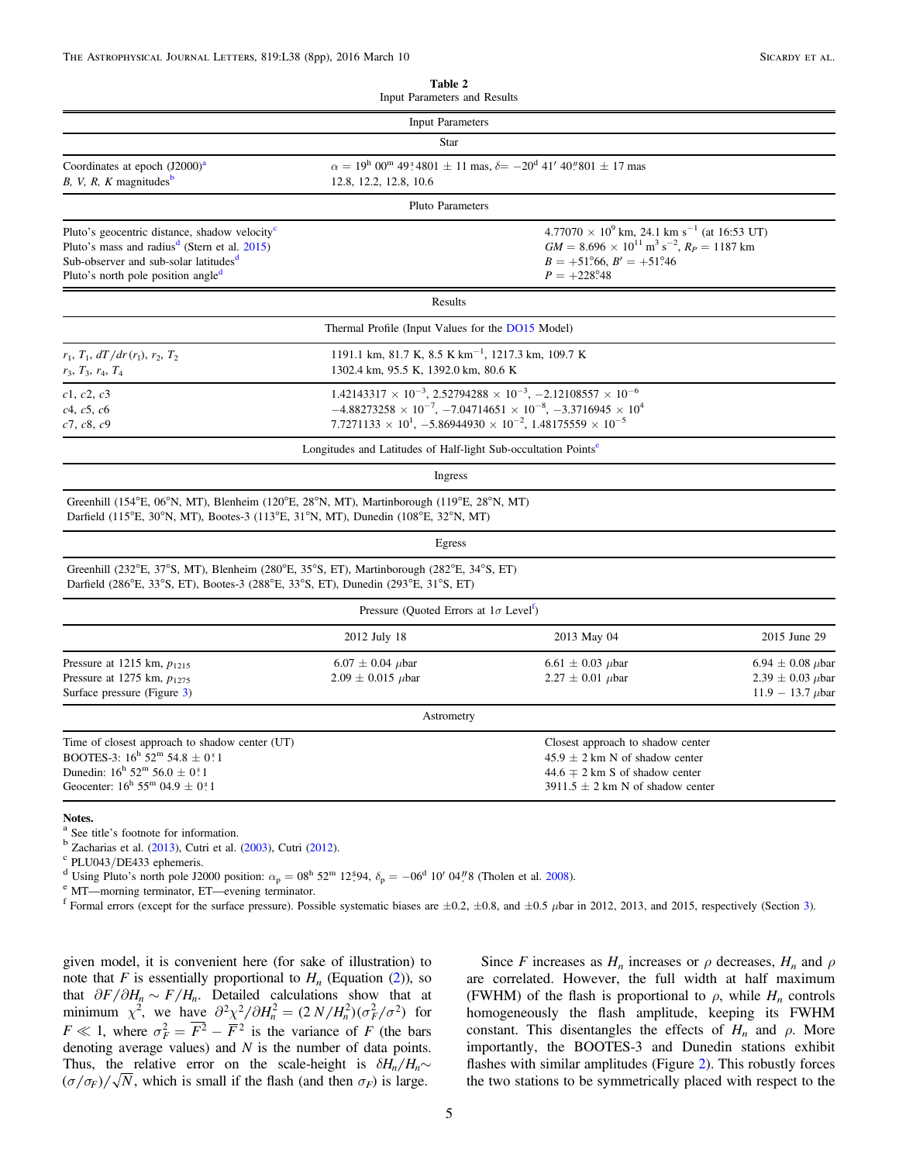<span id="page-4-0"></span>

|                                                                                                                                                                                                                              | Input Parameters and Results                                                                                                                                                                                                                                |                                                                                                                                                                                                                                                                                                           |                                                                               |  |  |
|------------------------------------------------------------------------------------------------------------------------------------------------------------------------------------------------------------------------------|-------------------------------------------------------------------------------------------------------------------------------------------------------------------------------------------------------------------------------------------------------------|-----------------------------------------------------------------------------------------------------------------------------------------------------------------------------------------------------------------------------------------------------------------------------------------------------------|-------------------------------------------------------------------------------|--|--|
|                                                                                                                                                                                                                              | <b>Input Parameters</b>                                                                                                                                                                                                                                     |                                                                                                                                                                                                                                                                                                           |                                                                               |  |  |
|                                                                                                                                                                                                                              | Star                                                                                                                                                                                                                                                        |                                                                                                                                                                                                                                                                                                           |                                                                               |  |  |
| Coordinates at epoch $(J2000)^{a}$<br>B, V, R, K magnitudes $\mathbf{b}$                                                                                                                                                     | 12.8, 12.2, 12.8, 10.6                                                                                                                                                                                                                                      | $\alpha = 19^{\rm h} 00^{\rm m} 49^{\rm s} 4801 \pm 11 \text{ mas}, \delta = -20^{\rm d} 41' 40'' 801 \pm 17 \text{ mas}$                                                                                                                                                                                 |                                                                               |  |  |
|                                                                                                                                                                                                                              | Pluto Parameters                                                                                                                                                                                                                                            |                                                                                                                                                                                                                                                                                                           |                                                                               |  |  |
| Pluto's geocentric distance, shadow velocity <sup>c</sup><br>Pluto's mass and radius <sup>d</sup> (Stern et al. 2015)<br>Sub-observer and sub-solar latitudes <sup>d</sup><br>Pluto's north pole position angle <sup>d</sup> |                                                                                                                                                                                                                                                             | $4.77070 \times 10^{9}$ km, 24.1 km s <sup>-1</sup> (at 16:53 UT)<br>$GM = 8.696 \times 10^{11} \text{ m}^3 \text{ s}^{-2}$ , $R_P = 1187 \text{ km}$<br>$B = +51^{\circ}66$ , $B' = +51^{\circ}46$<br>$P = +228^{\circ}48$                                                                               |                                                                               |  |  |
|                                                                                                                                                                                                                              | Results                                                                                                                                                                                                                                                     |                                                                                                                                                                                                                                                                                                           |                                                                               |  |  |
|                                                                                                                                                                                                                              | Thermal Profile (Input Values for the DO15 Model)                                                                                                                                                                                                           |                                                                                                                                                                                                                                                                                                           |                                                                               |  |  |
| $r_1, T_1, dT/dr(r_1), r_2, T_2$<br>$r_3, T_3, r_4, T_4$                                                                                                                                                                     | 1191.1 km, 81.7 K, 8.5 K km <sup>-1</sup> , 1217.3 km, 109.7 K<br>1302.4 km, 95.5 K, 1392.0 km, 80.6 K                                                                                                                                                      |                                                                                                                                                                                                                                                                                                           |                                                                               |  |  |
| c1, c2, c3<br>c4, c5, c6<br>c7, c8, c9                                                                                                                                                                                       |                                                                                                                                                                                                                                                             | $1.42143317 \times 10^{-3}$ , $2.52794288 \times 10^{-3}$ , $-2.12108557 \times 10^{-6}$<br>$-4.88273258 \times 10^{-7}$ , $-7.04714651 \times 10^{-8}$ , $-3.3716945 \times 10^{4}$<br>7.7271133 $\times$ 10 <sup>1</sup> , -5.86944930 $\times$ 10 <sup>-2</sup> , 1.48175559 $\times$ 10 <sup>-5</sup> |                                                                               |  |  |
|                                                                                                                                                                                                                              | Longitudes and Latitudes of Half-light Sub-occultation Points <sup>e</sup>                                                                                                                                                                                  |                                                                                                                                                                                                                                                                                                           |                                                                               |  |  |
|                                                                                                                                                                                                                              | Ingress                                                                                                                                                                                                                                                     |                                                                                                                                                                                                                                                                                                           |                                                                               |  |  |
|                                                                                                                                                                                                                              | Greenhill (154°E, 06°N, MT), Blenheim (120°E, 28°N, MT), Martinborough (119°E, 28°N, MT)<br>Darfield (115 <sup>o</sup> E, 30 <sup>o</sup> N, MT), Bootes-3 (113 <sup>o</sup> E, 31 <sup>o</sup> N, MT), Dunedin (108 <sup>o</sup> E, 32 <sup>o</sup> N, MT) |                                                                                                                                                                                                                                                                                                           |                                                                               |  |  |
|                                                                                                                                                                                                                              | Egress                                                                                                                                                                                                                                                      |                                                                                                                                                                                                                                                                                                           |                                                                               |  |  |
|                                                                                                                                                                                                                              | Greenhill (232°E, 37°S, MT), Blenheim (280°E, 35°S, ET), Martinborough (282°E, 34°S, ET)<br>Darfield (286°E, 33°S, ET), Bootes-3 (288°E, 33°S, ET), Dunedin (293°E, 31°S, ET)                                                                               |                                                                                                                                                                                                                                                                                                           |                                                                               |  |  |
|                                                                                                                                                                                                                              | Pressure (Quoted Errors at $1\sigma$ Level <sup>1</sup> )                                                                                                                                                                                                   |                                                                                                                                                                                                                                                                                                           |                                                                               |  |  |
|                                                                                                                                                                                                                              | 2012 July 18                                                                                                                                                                                                                                                | 2013 May 04                                                                                                                                                                                                                                                                                               | 2015 June 29                                                                  |  |  |
| Pressure at 1215 km, $p_{1215}$<br>Pressure at 1275 km, $p_{1275}$<br>Surface pressure (Figure 3)                                                                                                                            | $6.07 \pm 0.04$ $\mu$ bar<br>$2.09 \pm 0.015$ µbar                                                                                                                                                                                                          | $6.61 \pm 0.03$ $\mu$ bar<br>$2.27 \pm 0.01$ $\mu$ bar                                                                                                                                                                                                                                                    | $6.94 \pm 0.08 \mu$ bar<br>$2.39 \pm 0.03$ $\mu$ bar<br>11.9 - 13.7 $\mu$ bar |  |  |
|                                                                                                                                                                                                                              | Astrometry                                                                                                                                                                                                                                                  |                                                                                                                                                                                                                                                                                                           |                                                                               |  |  |
| Time of closest approach to shadow center (UT)<br>BOOTES-3: $16^h$ 52 <sup>m</sup> 54.8 ± 0 <sup>s</sup> 1<br>Dunedin: $16^h 52^m 56.0 \pm 0.1$<br>Geocenter: $16^{\rm h}$ 55 <sup>m</sup> 04.9 ± 0 <sup>s</sup> 1           |                                                                                                                                                                                                                                                             | Closest approach to shadow center<br>$45.9 \pm 2$ km N of shadow center<br>$44.6 \pm 2$ km S of shadow center<br>$3911.5 \pm 2$ km N of shadow center                                                                                                                                                     |                                                                               |  |  |
| Notes.                                                                                                                                                                                                                       |                                                                                                                                                                                                                                                             |                                                                                                                                                                                                                                                                                                           |                                                                               |  |  |

<sup>a</sup> See title's footnote for information.

<sup>b</sup> Zacharias et al. ([2013](#page-7-8)), Cutri et al. ([2003](#page-7-9)), Cutri ([2012](#page-7-10)).<br>
<sup>c</sup> PLU04[3](#page-1-0)/DE433 ephemeris.<br>
<sup>d</sup> Using Pluto's north pole J2000 position:  $\alpha_p = 08^h 52^m 12^s 94$ ,  $\delta_p = -06^d 10' 04''8$  (Tholen et al. [2008](#page-7-11)).<br>
<sup>e</sup> MT—morni

given model, it is convenient here (for sake of illustration) to note that F is essentially proportional to  $H_n$  (Equation ([2](#page-3-2))), so that  $\partial F / \partial H_n \sim F/H_n$ . Detailed calculations show that at minimum  $\chi^2$ , we have  $\partial^2 \chi^2 / \partial H_n^2 = (2 N / H_n^2)(\sigma_F^2 / \sigma^2)$  for  $F \ll 1$ , where  $\sigma_F^2 = \overline{F^2} - \overline{F^2}$  is the variance of *F* (the bars denoting average values) and  $N$  is the number of data points. Thus, the relative error on the scale-height is  $\delta H_n / H_n$  $(\sigma/\sigma_F)/\sqrt{N}$ , which is small if the flash (and then  $\sigma_F$ ) is large.

Since F increases as  $H_n$  increases or  $\rho$  decreases,  $H_n$  and  $\rho$ are correlated. However, the full width at half maximum (FWHM) of the flash is proportional to  $\rho$ , while  $H_n$  controls homogeneously the flash amplitude, keeping its FWHM constant. This disentangles the effects of  $H_n$  and  $\rho$ . More importantly, the BOOTES-3 and Dunedin stations exhibit flashes with similar amplitudes (Figure [2](#page-5-0)). This robustly forces the two stations to be symmetrically placed with respect to the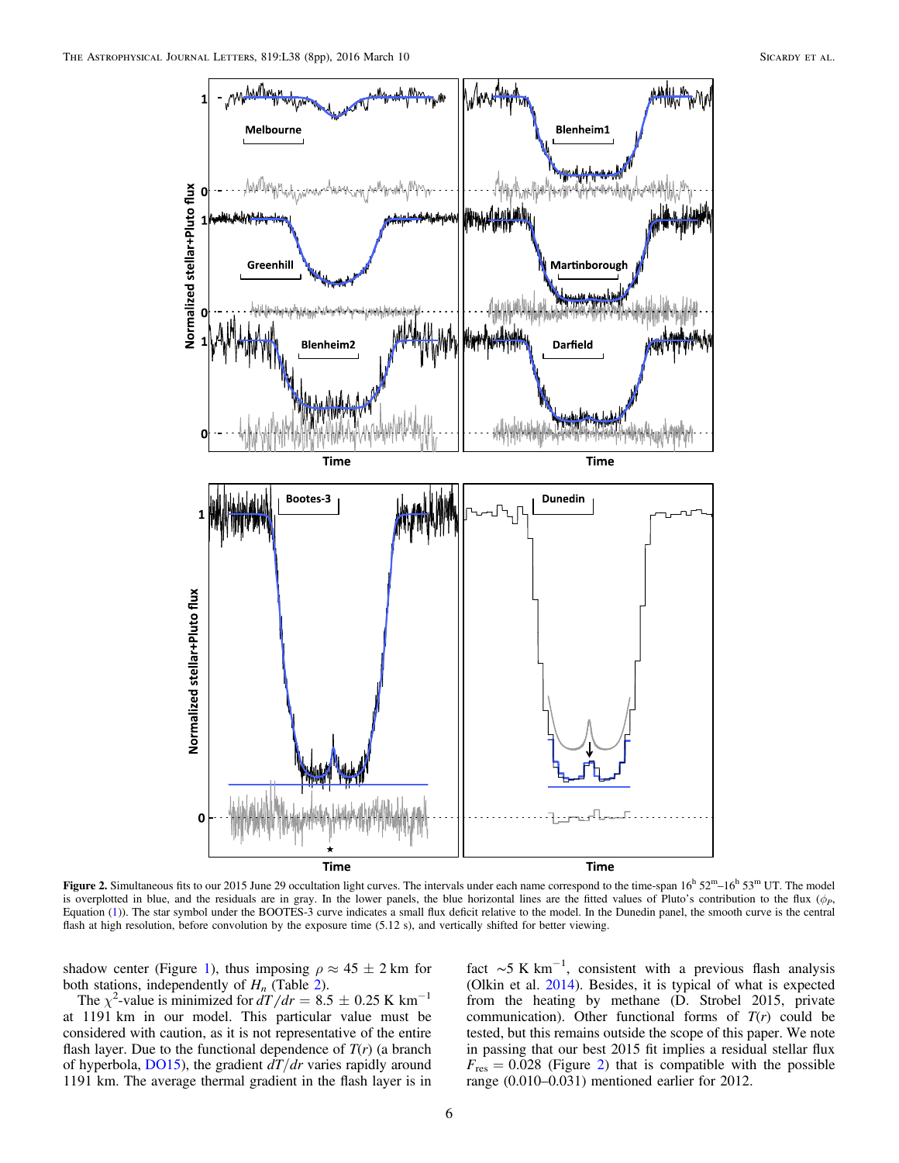<span id="page-5-0"></span>

Figure 2. Simultaneous fits to our 2015 June 29 occultation light curves. The intervals under each name correspond to the time-span  $16<sup>h</sup> 52<sup>m</sup> - 16<sup>h</sup> 53<sup>m</sup>$  UT. The model is overplotted in blue, and the residuals are in gray. In the lower panels, the blue horizontal lines are the fitted values of Pluto's contribution to the flux  $(\phi_P)$ Equation ([1](#page-1-1))). The star symbol under the BOOTES-3 curve indicates a small flux deficit relative to the model. In the Dunedin panel, the smooth curve is the central flash at high resolution, before convolution by the exposure time (5.12 s), and vertically shifted for better viewing.

shadow center (Figure [1](#page-3-0)), thus imposing  $\rho \approx 45 \pm 2$  km for both stations, independently of  $H_n$  (Table [2](#page-4-0)).

The  $\chi^2$ -value is minimized for  $dT/dr = 8.5 \pm 0.25$  K km<sup>-1</sup> at 1191 km in our model. This particular value must be considered with caution, as it is not representative of the entire flash layer. Due to the functional dependence of  $T(r)$  (a branch of hyperbola,  $D(15)$ , the gradient  $dT/dr$  varies rapidly around 1191 km. The average thermal gradient in the flash layer is in

fact  $\sim$ 5 K km<sup>-1</sup>, consistent with a previous flash analysis (Olkin et al. [2014](#page-7-12)). Besides, it is typical of what is expected from the heating by methane (D. Strobel 2015, private communication). Other functional forms of  $T(r)$  could be tested, but this remains outside the scope of this paper. We note in passing that our best 2015 fit implies a residual stellar flux  $F_{\text{res}} = 0.028$  $F_{\text{res}} = 0.028$  $F_{\text{res}} = 0.028$  (Figure 2) that is compatible with the possible range (0.010–0.031) mentioned earlier for 2012.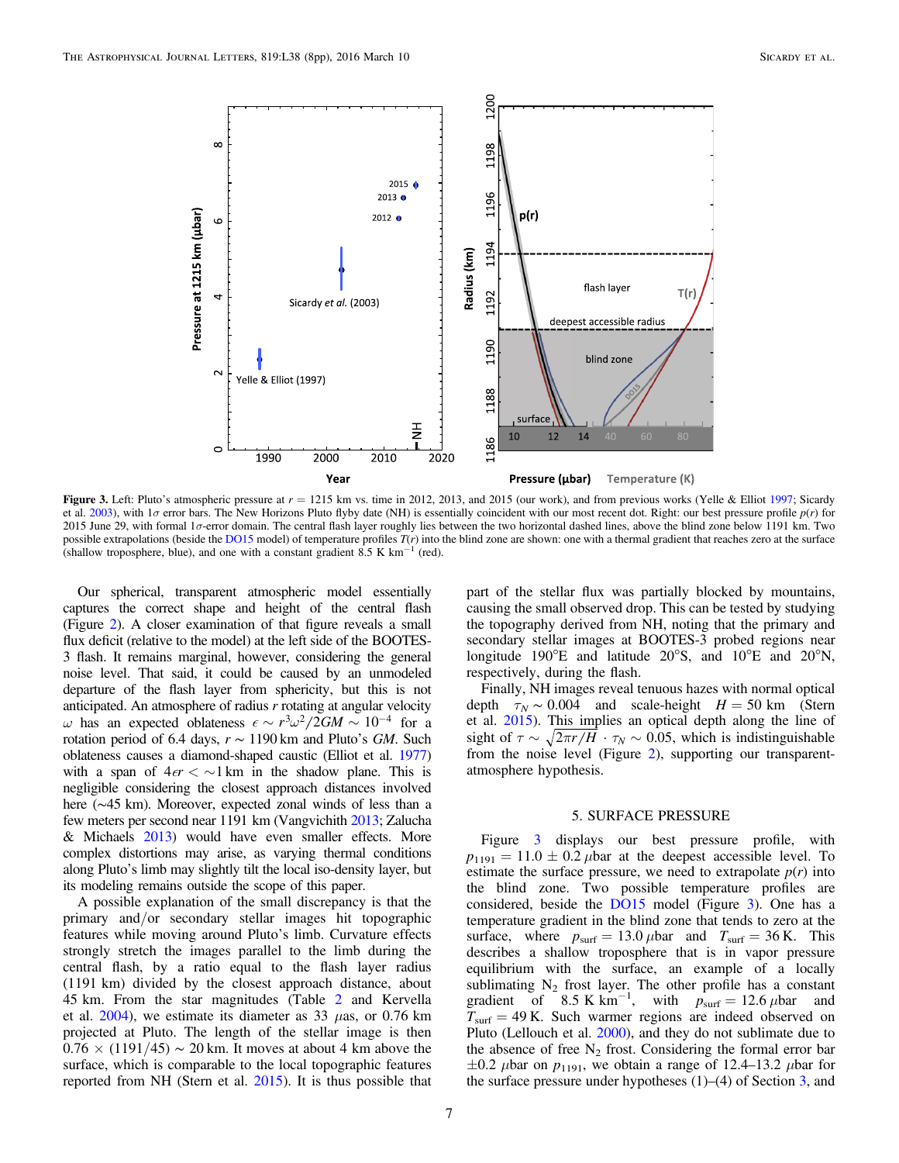<span id="page-6-0"></span>

Figure 3. Left: Pluto's atmospheric pressure at  $r = 1215$  km vs. time in 2012, 2013, and 2015 (our work), and from previous works (Yelle & Elliot [1997](#page-7-6); Sicardy et al. [2003](#page-7-7)), with  $1\sigma$  error bars. The New Horizons Pluto flyby date (NH) is essentially coincident with our most recent dot. Right: our best pressure profile  $p(r)$  for 2015 June 29, with formal 1σ-error domain. The central flash layer roughly lies between the two horizontal dashed lines, above the blind zone below 1191 km. Two possible extrapolations (beside the [DO15](#page-7-0) model) of temperature profiles  $T(r)$  into the blind zone are shown: one with a thermal gradient that reaches zero at the surface (shallow troposphere, blue), and one with a constant gradient 8.5 K  $km^{-1}$  (red).

Our spherical, transparent atmospheric model essentially captures the correct shape and height of the central flash (Figure [2](#page-5-0)). A closer examination of that figure reveals a small flux deficit (relative to the model) at the left side of the BOOTES-3 flash. It remains marginal, however, considering the general noise level. That said, it could be caused by an unmodeled departure of the flash layer from sphericity, but this is not anticipated. An atmosphere of radius  $r$  rotating at angular velocity  $\omega$  has an expected oblateness  $\epsilon \sim r^3 \omega^2 / 2GM \sim 10^{-4}$  for a rotation period of 6.4 days,  $r \sim 1190 \text{ km}$  and Pluto's GM. Such oblateness causes a diamond-shaped caustic (Elliot et al. [1977](#page-7-13)) with a span of  $4\epsilon r < \frac{1}{\epsilon}$  km in the shadow plane. This is negligible considering the closest approach distances involved here (∼45 km). Moreover, expected zonal winds of less than a few meters per second near 1191 km (Vangvichith [2013](#page-7-14); Zalucha & Michaels [2013](#page-7-15)) would have even smaller effects. More complex distortions may arise, as varying thermal conditions along Pluto's limb may slightly tilt the local iso-density layer, but its modeling remains outside the scope of this paper.

A possible explanation of the small discrepancy is that the primary and/or secondary stellar images hit topographic features while moving around Pluto's limb. Curvature effects strongly stretch the images parallel to the limb during the central flash, by a ratio equal to the flash layer radius (1191 km) divided by the closest approach distance, about 45 km. From the star magnitudes (Table [2](#page-4-0) and Kervella et al.  $2004$ ), we estimate its diameter as 33  $\mu$ as, or 0.76 km projected at Pluto. The length of the stellar image is then  $0.76 \times (1191/45) \sim 20$  km. It moves at about 4 km above the surface, which is comparable to the local topographic features reported from NH (Stern et al. [2015](#page-7-5)). It is thus possible that part of the stellar flux was partially blocked by mountains, causing the small observed drop. This can be tested by studying the topography derived from NH, noting that the primary and secondary stellar images at BOOTES-3 probed regions near longitude 190°E and latitude 20°S, and 10°E and 20°N, respectively, during the flash.

Finally, NH images reveal tenuous hazes with normal optical depth  $\tau_N \sim 0.004$  and scale-height  $H = 50$  km (Stern et al. [2015](#page-7-5)). This implies an optical depth along the line of sight of  $\tau \sim \sqrt{2\pi r/H} \cdot \tau_N \sim 0.05$ , which is indistinguishable from the noise level (Figure [2](#page-5-0)), supporting our transparentatmosphere hypothesis.

### 5. SURFACE PRESSURE

Figure [3](#page-6-0) displays our best pressure profile, with  $p_{1191} = 11.0 \pm 0.2 \mu$ bar at the deepest accessible level. To estimate the surface pressure, we need to extrapolate  $p(r)$  into the blind zone. Two possible temperature profiles are considered, beside the [DO15](#page-7-0) model (Figure [3](#page-6-0)). One has a temperature gradient in the blind zone that tends to zero at the surface, where  $p_{\text{surf}} = 13.0 \,\mu$ bar and  $T_{\text{surf}} = 36 \,\text{K}$ . This describes a shallow troposphere that is in vapor pressure equilibrium with the surface, an example of a locally sublimating  $N_2$  frost layer. The other profile has a constant gradient of 8.5 K km<sup>-1</sup>, with  $p_{\text{surf}} = 12.6 \,\mu$ bar and  $T<sub>surf</sub> = 49$  K. Such warmer regions are indeed observed on Pluto (Lellouch et al. [2000](#page-7-17)), and they do not sublimate due to the absence of free  $N_2$  frost. Considering the formal error bar  $\pm 0.2$   $\mu$ bar on  $p_{1191}$ , we obtain a range of 12.4–13.2  $\mu$ bar for the surface pressure under hypotheses  $(1)$ – $(4)$  of Section [3](#page-1-0), and